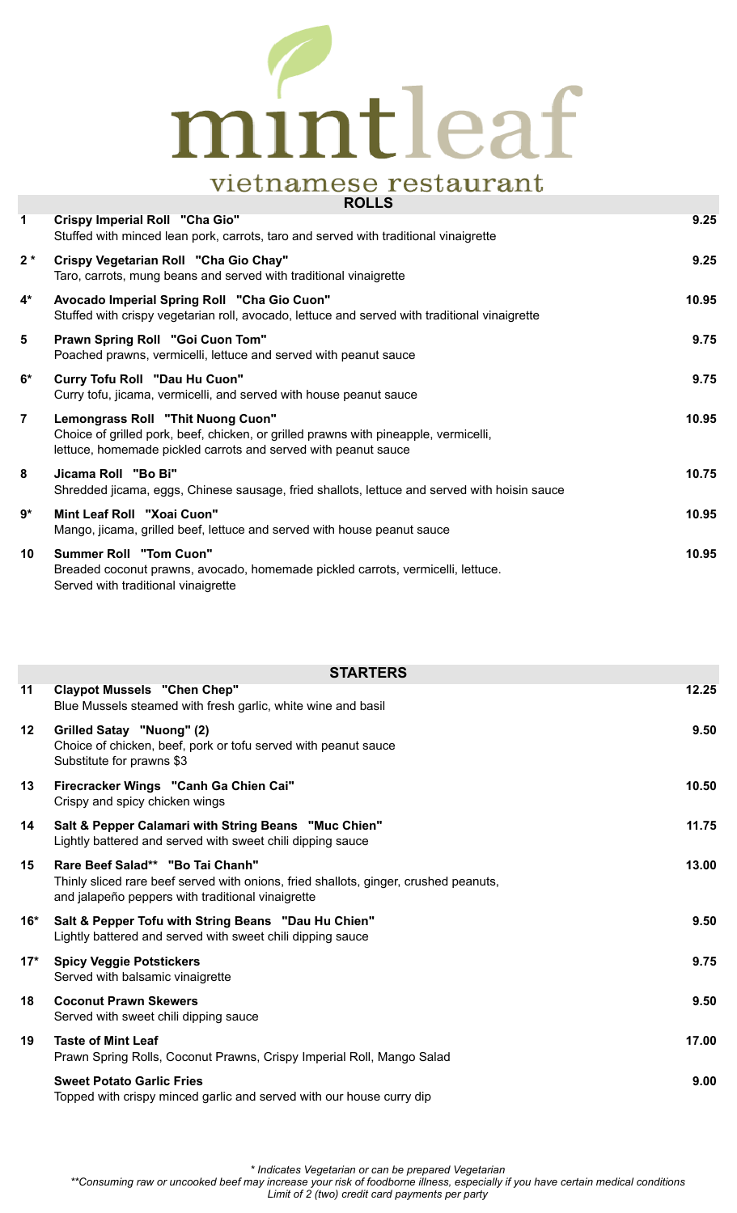## mintleaf **Vietnamese restaurant**

|                | <b>RULLJ</b>                                                                                                                                                                                |       |
|----------------|---------------------------------------------------------------------------------------------------------------------------------------------------------------------------------------------|-------|
| $\mathbf 1$    | Crispy Imperial Roll "Cha Gio"<br>Stuffed with minced lean pork, carrots, taro and served with traditional vinaigrette                                                                      | 9.25  |
| $2*$           | Crispy Vegetarian Roll "Cha Gio Chay"<br>Taro, carrots, mung beans and served with traditional vinaigrette                                                                                  | 9.25  |
| $4^*$          | Avocado Imperial Spring Roll "Cha Gio Cuon"<br>Stuffed with crispy vegetarian roll, avocado, lettuce and served with traditional vinaigrette                                                | 10.95 |
| 5              | Prawn Spring Roll "Goi Cuon Tom"<br>Poached prawns, vermicelli, lettuce and served with peanut sauce                                                                                        | 9.75  |
| $6*$           | Curry Tofu Roll "Dau Hu Cuon"<br>Curry tofu, jicama, vermicelli, and served with house peanut sauce                                                                                         | 9.75  |
| $\overline{7}$ | Lemongrass Roll "Thit Nuong Cuon"<br>Choice of grilled pork, beef, chicken, or grilled prawns with pineapple, vermicelli,<br>lettuce, homemade pickled carrots and served with peanut sauce | 10.95 |
| 8              | Jicama Roll "Bo Bi"<br>Shredded jicama, eggs, Chinese sausage, fried shallots, lettuce and served with hoisin sauce                                                                         | 10.75 |
| 9*             | Mint Leaf Roll "Xoai Cuon"<br>Mango, jicama, grilled beef, lettuce and served with house peanut sauce                                                                                       | 10.95 |
| 10             | <b>Summer Roll "Tom Cuon"</b><br>Breaded coconut prawns, avocado, homemade pickled carrots, vermicelli, lettuce.<br>Served with traditional vinaigrette                                     | 10.95 |

|         | <b>STARTERS</b>                                                                                                                                                               |       |
|---------|-------------------------------------------------------------------------------------------------------------------------------------------------------------------------------|-------|
| 11      | <b>Claypot Mussels "Chen Chep"</b><br>Blue Mussels steamed with fresh garlic, white wine and basil                                                                            | 12.25 |
| $12 \,$ | Grilled Satay "Nuong" (2)<br>Choice of chicken, beef, pork or tofu served with peanut sauce<br>Substitute for prawns \$3                                                      | 9.50  |
| 13      | Firecracker Wings "Canh Ga Chien Cai"<br>Crispy and spicy chicken wings                                                                                                       | 10.50 |
| 14      | Salt & Pepper Calamari with String Beans "Muc Chien"<br>Lightly battered and served with sweet chili dipping sauce                                                            | 11.75 |
| 15      | Rare Beef Salad** "Bo Tai Chanh"<br>Thinly sliced rare beef served with onions, fried shallots, ginger, crushed peanuts,<br>and jalapeño peppers with traditional vinaigrette | 13.00 |
| 16*     | Salt & Pepper Tofu with String Beans "Dau Hu Chien"<br>Lightly battered and served with sweet chili dipping sauce                                                             | 9.50  |
| $17*$   | <b>Spicy Veggie Potstickers</b><br>Served with balsamic vinaigrette                                                                                                           | 9.75  |
| 18      | <b>Coconut Prawn Skewers</b><br>Served with sweet chili dipping sauce                                                                                                         | 9.50  |
| 19      | <b>Taste of Mint Leaf</b><br>Prawn Spring Rolls, Coconut Prawns, Crispy Imperial Roll, Mango Salad                                                                            | 17.00 |
|         | <b>Sweet Potato Garlic Fries</b><br>Topped with crispy minced garlic and served with our house curry dip                                                                      | 9.00  |

*\* Indicates Vegetarian or can be prepared Vegetarian*

*\*\*Consuming raw or uncooked beef may increase your risk of foodborne illness, especially if you have certain medical conditions*

*Limit of 2 (two) credit card payments per party*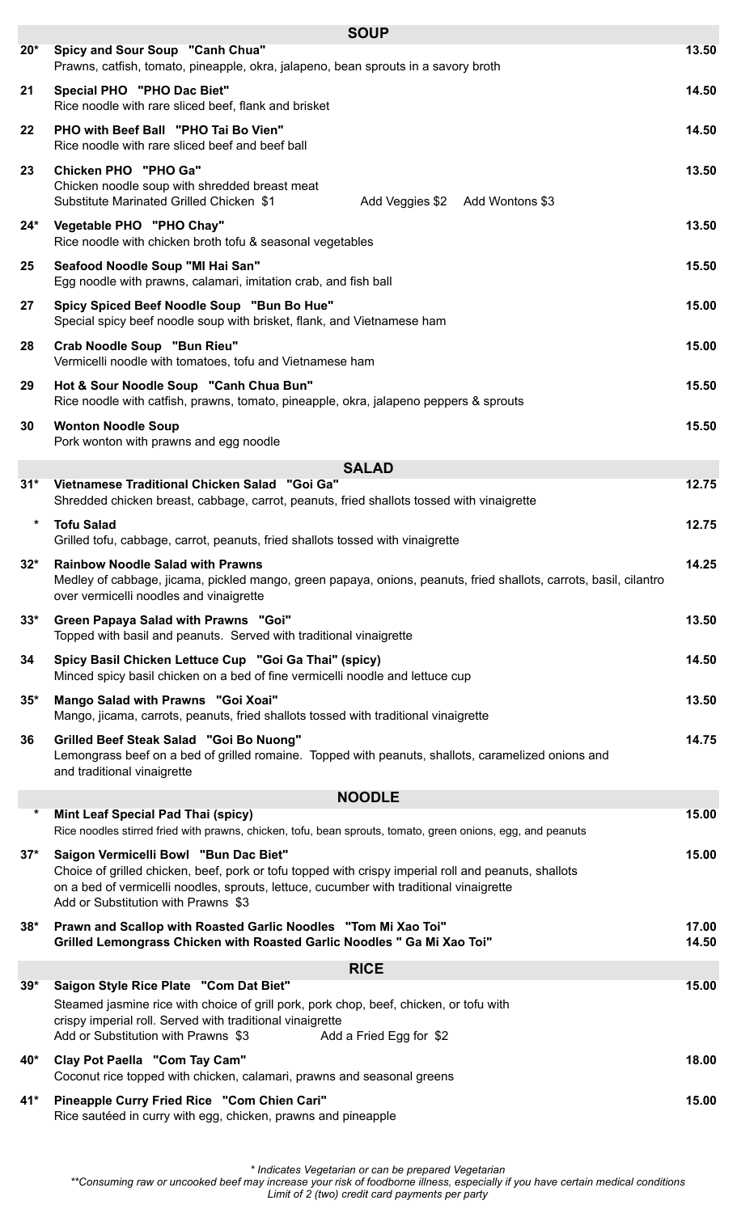|              | <b>SOUP</b>                                                                                                                                                                                                                                                                     |                |
|--------------|---------------------------------------------------------------------------------------------------------------------------------------------------------------------------------------------------------------------------------------------------------------------------------|----------------|
| $20*$        | Spicy and Sour Soup "Canh Chua"<br>Prawns, catfish, tomato, pineapple, okra, jalapeno, bean sprouts in a savory broth                                                                                                                                                           | 13.50          |
| 21           | Special PHO "PHO Dac Biet"<br>Rice noodle with rare sliced beef, flank and brisket                                                                                                                                                                                              | 14.50          |
| 22           | PHO with Beef Ball "PHO Tai Bo Vien"<br>Rice noodle with rare sliced beef and beef ball                                                                                                                                                                                         | 14.50          |
| 23           | <b>Chicken PHO "PHO Ga"</b><br>Chicken noodle soup with shredded breast meat<br>Substitute Marinated Grilled Chicken \$1<br>Add Veggies \$2 Add Wontons \$3                                                                                                                     | 13.50          |
| 24*          | Vegetable PHO "PHO Chay"<br>Rice noodle with chicken broth tofu & seasonal vegetables                                                                                                                                                                                           | 13.50          |
| 25           | Seafood Noodle Soup "MI Hai San"<br>Egg noodle with prawns, calamari, imitation crab, and fish ball                                                                                                                                                                             | 15.50          |
| 27           | Spicy Spiced Beef Noodle Soup "Bun Bo Hue"<br>Special spicy beef noodle soup with brisket, flank, and Vietnamese ham                                                                                                                                                            | 15.00          |
| 28           | Crab Noodle Soup "Bun Rieu"<br>Vermicelli noodle with tomatoes, tofu and Vietnamese ham                                                                                                                                                                                         | 15.00          |
| 29           | Hot & Sour Noodle Soup "Canh Chua Bun"<br>Rice noodle with catfish, prawns, tomato, pineapple, okra, jalapeno peppers & sprouts                                                                                                                                                 | 15.50          |
| 30           | <b>Wonton Noodle Soup</b><br>Pork wonton with prawns and egg noodle                                                                                                                                                                                                             | 15.50          |
|              | <b>SALAD</b>                                                                                                                                                                                                                                                                    |                |
| 31*          | Vietnamese Traditional Chicken Salad "Goi Ga"<br>Shredded chicken breast, cabbage, carrot, peanuts, fried shallots tossed with vinaigrette                                                                                                                                      | 12.75          |
| *            | <b>Tofu Salad</b><br>Grilled tofu, cabbage, carrot, peanuts, fried shallots tossed with vinaigrette                                                                                                                                                                             | 12.75          |
| $32^{\star}$ | <b>Rainbow Noodle Salad with Prawns</b><br>Medley of cabbage, jicama, pickled mango, green papaya, onions, peanuts, fried shallots, carrots, basil, cilantro<br>over vermicelli noodles and vinaigrette                                                                         | 14.25          |
| $33^*$       | Green Papaya Salad with Prawns "Goi"<br>Topped with basil and peanuts. Served with traditional vinaigrette                                                                                                                                                                      | 13.50          |
| 34           | Spicy Basil Chicken Lettuce Cup "Goi Ga Thai" (spicy)<br>Minced spicy basil chicken on a bed of fine vermicelli noodle and lettuce cup                                                                                                                                          | 14.50          |
| $35*$        | Mango Salad with Prawns "Goi Xoai"<br>Mango, jicama, carrots, peanuts, fried shallots tossed with traditional vinaigrette                                                                                                                                                       | 13.50          |
| 36           | Grilled Beef Steak Salad "Goi Bo Nuong"<br>Lemongrass beef on a bed of grilled romaine. Topped with peanuts, shallots, caramelized onions and<br>and traditional vinaigrette                                                                                                    | 14.75          |
|              | <b>NOODLE</b>                                                                                                                                                                                                                                                                   |                |
| $\star$      | Mint Leaf Special Pad Thai (spicy)<br>Rice noodles stirred fried with prawns, chicken, tofu, bean sprouts, tomato, green onions, egg, and peanuts                                                                                                                               | 15.00          |
| $37*$        | Saigon Vermicelli Bowl "Bun Dac Biet"<br>Choice of grilled chicken, beef, pork or tofu topped with crispy imperial roll and peanuts, shallots<br>on a bed of vermicelli noodles, sprouts, lettuce, cucumber with traditional vinaigrette<br>Add or Substitution with Prawns \$3 | 15.00          |
| $38*$        | Prawn and Scallop with Roasted Garlic Noodles "Tom Mi Xao Toi"<br>Grilled Lemongrass Chicken with Roasted Garlic Noodles " Ga Mi Xao Toi"                                                                                                                                       | 17.00<br>14.50 |
|              | <b>RICE</b>                                                                                                                                                                                                                                                                     |                |
| $39*$        | Saigon Style Rice Plate "Com Dat Biet"                                                                                                                                                                                                                                          | 15.00          |
|              | Steamed jasmine rice with choice of grill pork, pork chop, beef, chicken, or tofu with<br>crispy imperial roll. Served with traditional vinaigrette<br>Add or Substitution with Prawns \$3<br>Add a Fried Egg for \$2                                                           |                |
| 40*          | Clay Pot Paella "Com Tay Cam"<br>Coconut rice topped with chicken, calamari, prawns and seasonal greens                                                                                                                                                                         | 18.00          |
| 41*          | Pineapple Curry Fried Rice "Com Chien Cari"<br>Rice sautéed in curry with egg, chicken, prawns and pineapple                                                                                                                                                                    | 15.00          |
|              |                                                                                                                                                                                                                                                                                 |                |

*\* Indicates Vegetarian or can be prepared Vegetarian*

*\*\*Consuming raw or uncooked beef may increase your risk of foodborne illness, especially if you have certain medical conditions Limit of 2 (two) credit card payments per party*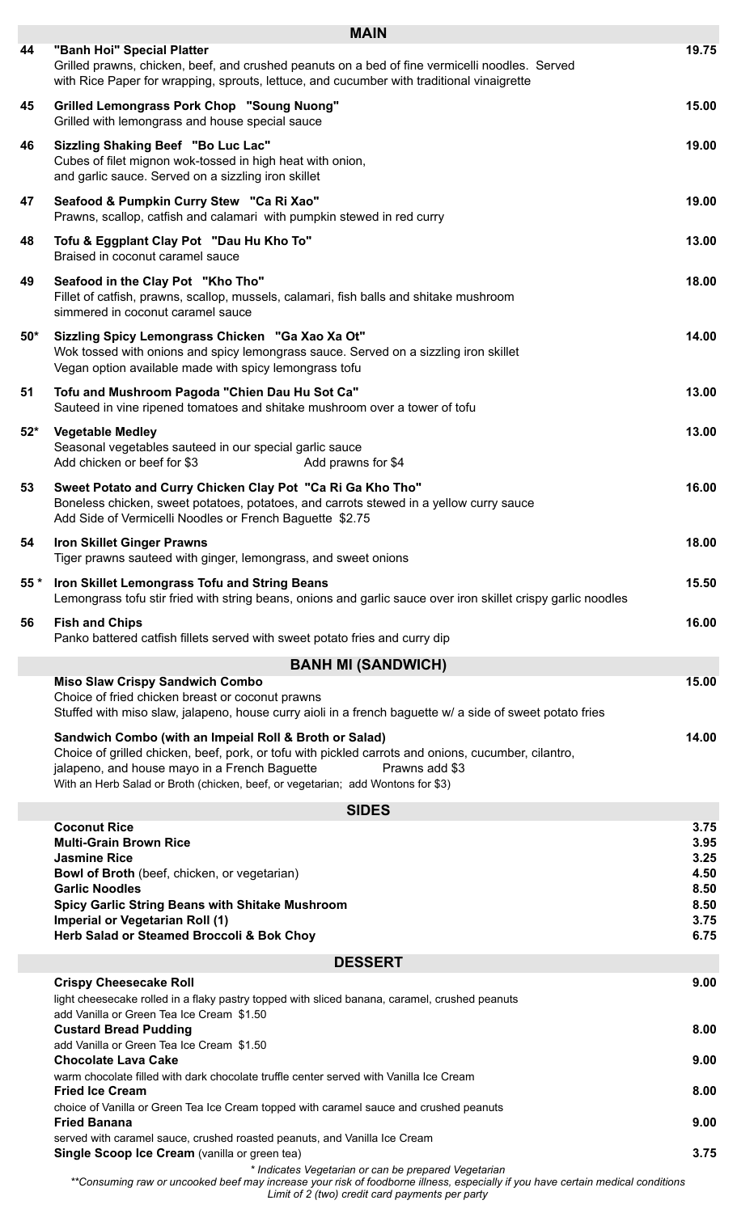|       | <b>MAIN</b>                                                                                                                                                                                                                                                                                                         |              |
|-------|---------------------------------------------------------------------------------------------------------------------------------------------------------------------------------------------------------------------------------------------------------------------------------------------------------------------|--------------|
| 44    | "Banh Hoi" Special Platter<br>Grilled prawns, chicken, beef, and crushed peanuts on a bed of fine vermicelli noodles. Served<br>with Rice Paper for wrapping, sprouts, lettuce, and cucumber with traditional vinaigrette                                                                                           | 19.75        |
| 45    | <b>Grilled Lemongrass Pork Chop "Soung Nuong"</b><br>Grilled with lemongrass and house special sauce                                                                                                                                                                                                                | 15.00        |
| 46    | Sizzling Shaking Beef "Bo Luc Lac"<br>Cubes of filet mignon wok-tossed in high heat with onion,<br>and garlic sauce. Served on a sizzling iron skillet                                                                                                                                                              | 19.00        |
| 47    | Seafood & Pumpkin Curry Stew "Ca Ri Xao"<br>Prawns, scallop, catfish and calamari with pumpkin stewed in red curry                                                                                                                                                                                                  | 19.00        |
| 48    | Tofu & Eggplant Clay Pot "Dau Hu Kho To"<br>Braised in coconut caramel sauce                                                                                                                                                                                                                                        | 13.00        |
| 49    | Seafood in the Clay Pot "Kho Tho"<br>Fillet of catfish, prawns, scallop, mussels, calamari, fish balls and shitake mushroom<br>simmered in coconut caramel sauce                                                                                                                                                    | 18.00        |
| 50*   | Sizzling Spicy Lemongrass Chicken "Ga Xao Xa Ot"<br>Wok tossed with onions and spicy lemongrass sauce. Served on a sizzling iron skillet<br>Vegan option available made with spicy lemongrass tofu                                                                                                                  | 14.00        |
| 51    | Tofu and Mushroom Pagoda "Chien Dau Hu Sot Ca"<br>Sauteed in vine ripened tomatoes and shitake mushroom over a tower of tofu                                                                                                                                                                                        | 13.00        |
| $52*$ | <b>Vegetable Medley</b><br>Seasonal vegetables sauteed in our special garlic sauce<br>Add chicken or beef for \$3<br>Add prawns for \$4                                                                                                                                                                             | 13.00        |
| 53    | Sweet Potato and Curry Chicken Clay Pot "Ca Ri Ga Kho Tho"<br>Boneless chicken, sweet potatoes, potatoes, and carrots stewed in a yellow curry sauce<br>Add Side of Vermicelli Noodles or French Baguette \$2.75                                                                                                    | 16.00        |
| 54    | <b>Iron Skillet Ginger Prawns</b><br>Tiger prawns sauteed with ginger, lemongrass, and sweet onions                                                                                                                                                                                                                 | 18.00        |
| 55 *  | Iron Skillet Lemongrass Tofu and String Beans<br>Lemongrass tofu stir fried with string beans, onions and garlic sauce over iron skillet crispy garlic noodles                                                                                                                                                      | 15.50        |
| 56    | <b>Fish and Chips</b><br>Panko battered catfish fillets served with sweet potato fries and curry dip                                                                                                                                                                                                                | 16.00        |
|       | <b>BANH MI (SANDWICH)</b>                                                                                                                                                                                                                                                                                           |              |
|       | <b>Miso Slaw Crispy Sandwich Combo</b>                                                                                                                                                                                                                                                                              | 15.00        |
|       | Choice of fried chicken breast or coconut prawns<br>Stuffed with miso slaw, jalapeno, house curry aioli in a french baguette w/ a side of sweet potato fries                                                                                                                                                        |              |
|       | Sandwich Combo (with an Impeial Roll & Broth or Salad)<br>Choice of grilled chicken, beef, pork, or tofu with pickled carrots and onions, cucumber, cilantro,<br>jalapeno, and house mayo in a French Baguette<br>Prawns add \$3<br>With an Herb Salad or Broth (chicken, beef, or vegetarian; add Wontons for \$3) | 14.00        |
|       |                                                                                                                                                                                                                                                                                                                     |              |
|       | <b>SIDES</b><br><b>Coconut Rice</b>                                                                                                                                                                                                                                                                                 | 3.75         |
|       | <b>Multi-Grain Brown Rice</b>                                                                                                                                                                                                                                                                                       | 3.95         |
|       | <b>Jasmine Rice</b>                                                                                                                                                                                                                                                                                                 | 3.25         |
|       | Bowl of Broth (beef, chicken, or vegetarian)                                                                                                                                                                                                                                                                        | 4.50         |
|       | <b>Garlic Noodles</b>                                                                                                                                                                                                                                                                                               | 8.50         |
|       | <b>Spicy Garlic String Beans with Shitake Mushroom</b><br>Imperial or Vegetarian Roll (1)                                                                                                                                                                                                                           | 8.50<br>3.75 |
|       | Herb Salad or Steamed Broccoli & Bok Choy                                                                                                                                                                                                                                                                           | 6.75         |
|       |                                                                                                                                                                                                                                                                                                                     |              |
|       | <b>DESSERT</b>                                                                                                                                                                                                                                                                                                      |              |
|       | <b>Crispy Cheesecake Roll</b><br>light cheesecake rolled in a flaky pastry topped with sliced banana, caramel, crushed peanuts<br>add Vanilla or Green Tea Ice Cream \$1.50                                                                                                                                         | 9.00         |
|       | <b>Custard Bread Pudding</b>                                                                                                                                                                                                                                                                                        | 8.00         |
|       | add Vanilla or Green Tea Ice Cream \$1.50<br><b>Chocolate Lava Cake</b>                                                                                                                                                                                                                                             | 9.00         |
|       | warm chocolate filled with dark chocolate truffle center served with Vanilla Ice Cream<br><b>Fried Ice Cream</b>                                                                                                                                                                                                    | 8.00         |
|       | choice of Vanilla or Green Tea Ice Cream topped with caramel sauce and crushed peanuts                                                                                                                                                                                                                              |              |
|       | <b>Fried Banana</b>                                                                                                                                                                                                                                                                                                 | 9.00         |
|       | served with caramel sauce, crushed roasted peanuts, and Vanilla Ice Cream                                                                                                                                                                                                                                           |              |
|       | <b>Single Scoop Ice Cream</b> (vanilla or green tea)<br>* Indicates Vegetarian or can be prepared Vegetarian<br>**Consuming raw or uncooked beef may increase your risk of foodborne illness, especially if you have certain medical conditions                                                                     | 3.75         |

*Limit of 2 (two) credit card payments per party*